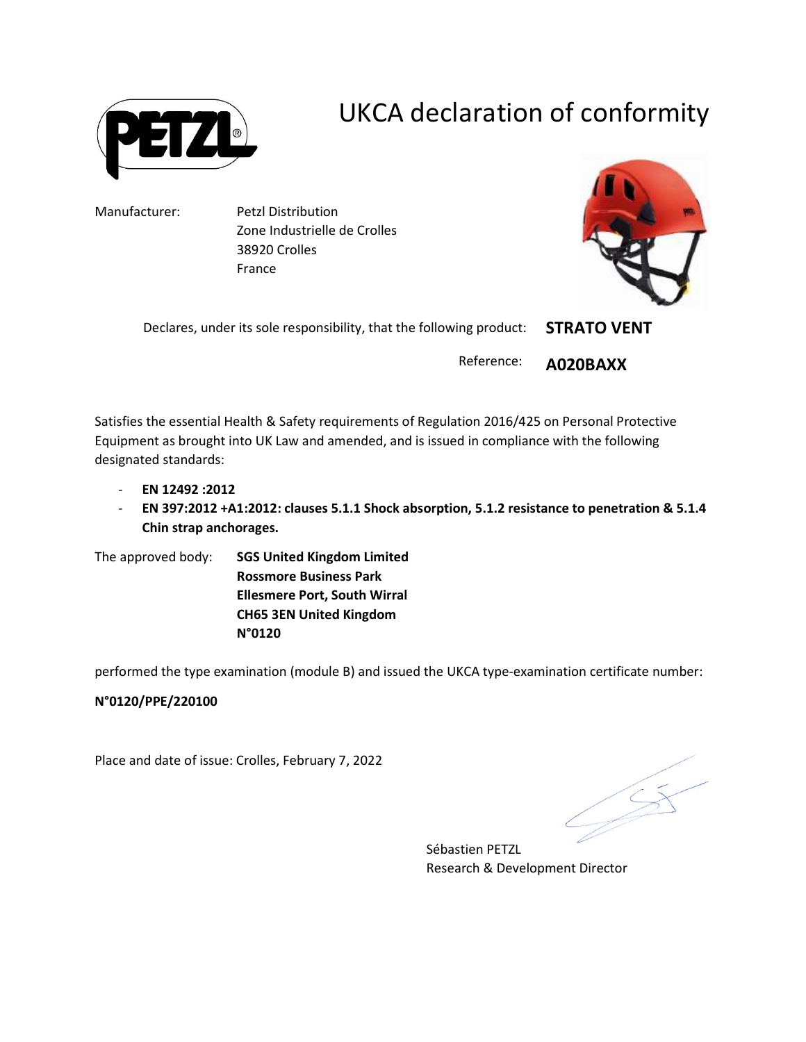

## UKCA declaration of conformity

Manufacturer: Petzl Distribution Zone Industrielle de Crolles 38920 Crolles France



Declares, under its sole responsibility, that the following product: STRATO VENT

> Reference: A020BAXX

Satisfies the essential Health & Safety requirements of Regulation 2016/425 on Personal Protective Equipment as brought into UK Law and amended, and is issued in compliance with the following designated standards:

- EN 12492 :2012
- EN 397:2012 +A1:2012: clauses 5.1.1 Shock absorption, 5.1.2 resistance to penetration & 5.1.4 Chin strap anchorages.
- The approved body: SGS United Kingdom Limited Rossmore Business Park Ellesmere Port, South Wirral CH65 3EN United Kingdom N°0120

performed the type examination (module B) and issued the UKCA type-examination certificate number:

N°0120/PPE/220100

Place and date of issue: Crolles, February 7, 2022

Sébastien PETZL Research & Development Director